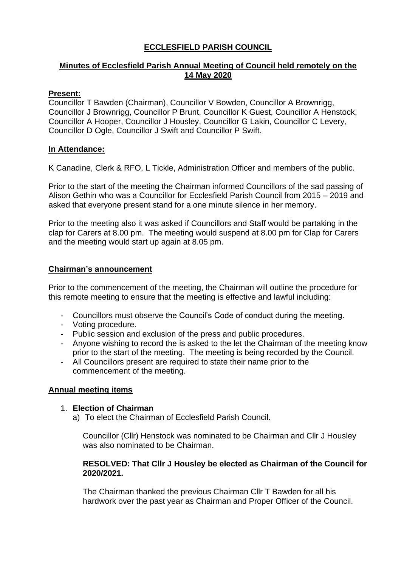# **ECCLESFIELD PARISH COUNCIL**

# **Minutes of Ecclesfield Parish Annual Meeting of Council held remotely on the 14 May 2020**

# **Present:**

Councillor T Bawden (Chairman), Councillor V Bowden, Councillor A Brownrigg, Councillor J Brownrigg, Councillor P Brunt, Councillor K Guest, Councillor A Henstock, Councillor A Hooper, Councillor J Housley, Councillor G Lakin, Councillor C Levery, Councillor D Ogle, Councillor J Swift and Councillor P Swift.

## **In Attendance:**

K Canadine, Clerk & RFO, L Tickle, Administration Officer and members of the public.

Prior to the start of the meeting the Chairman informed Councillors of the sad passing of Alison Gethin who was a Councillor for Ecclesfield Parish Council from 2015 – 2019 and asked that everyone present stand for a one minute silence in her memory.

Prior to the meeting also it was asked if Councillors and Staff would be partaking in the clap for Carers at 8.00 pm. The meeting would suspend at 8.00 pm for Clap for Carers and the meeting would start up again at 8.05 pm.

# **Chairman's announcement**

Prior to the commencement of the meeting, the Chairman will outline the procedure for this remote meeting to ensure that the meeting is effective and lawful including:

- Councillors must observe the Council's Code of conduct during the meeting.
- Voting procedure.
- Public session and exclusion of the press and public procedures.
- Anyone wishing to record the is asked to the let the Chairman of the meeting know prior to the start of the meeting. The meeting is being recorded by the Council.
- All Councillors present are required to state their name prior to the commencement of the meeting.

## **Annual meeting items**

## 1. **Election of Chairman**

a) To elect the Chairman of Ecclesfield Parish Council.

Councillor (Cllr) Henstock was nominated to be Chairman and Cllr J Housley was also nominated to be Chairman.

## **RESOLVED: That Cllr J Housley be elected as Chairman of the Council for 2020/2021.**

The Chairman thanked the previous Chairman Cllr T Bawden for all his hardwork over the past year as Chairman and Proper Officer of the Council.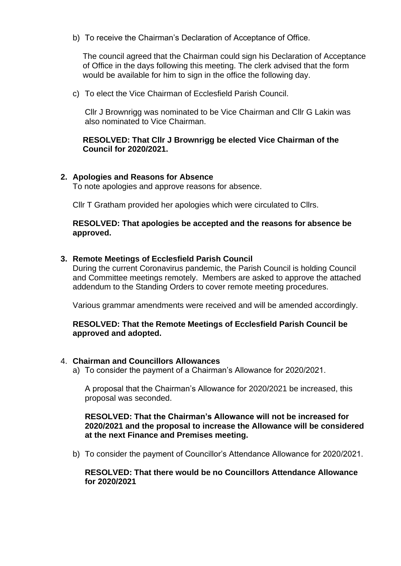b) To receive the Chairman's Declaration of Acceptance of Office.

The council agreed that the Chairman could sign his Declaration of Acceptance of Office in the days following this meeting. The clerk advised that the form would be available for him to sign in the office the following day.

c) To elect the Vice Chairman of Ecclesfield Parish Council.

Cllr J Brownrigg was nominated to be Vice Chairman and Cllr G Lakin was also nominated to Vice Chairman.

**RESOLVED: That Cllr J Brownrigg be elected Vice Chairman of the Council for 2020/2021.**

## **2. Apologies and Reasons for Absence**

To note apologies and approve reasons for absence.

Cllr T Gratham provided her apologies which were circulated to Cllrs.

#### **RESOLVED: That apologies be accepted and the reasons for absence be approved.**

## **3. Remote Meetings of Ecclesfield Parish Council**

During the current Coronavirus pandemic, the Parish Council is holding Council and Committee meetings remotely. Members are asked to approve the attached addendum to the Standing Orders to cover remote meeting procedures.

Various grammar amendments were received and will be amended accordingly.

## **RESOLVED: That the Remote Meetings of Ecclesfield Parish Council be approved and adopted.**

#### 4. **Chairman and Councillors Allowances**

a) To consider the payment of a Chairman's Allowance for 2020/2021.

A proposal that the Chairman's Allowance for 2020/2021 be increased, this proposal was seconded.

## **RESOLVED: That the Chairman's Allowance will not be increased for 2020/2021 and the proposal to increase the Allowance will be considered at the next Finance and Premises meeting.**

b) To consider the payment of Councillor's Attendance Allowance for 2020/2021.

#### **RESOLVED: That there would be no Councillors Attendance Allowance for 2020/2021**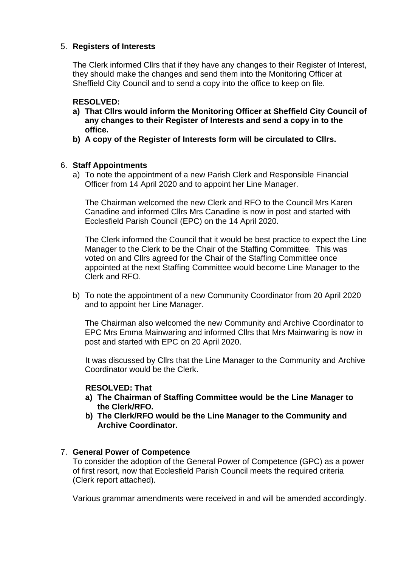# 5. **Registers of Interests**

The Clerk informed Cllrs that if they have any changes to their Register of Interest, they should make the changes and send them into the Monitoring Officer at Sheffield City Council and to send a copy into the office to keep on file.

## **RESOLVED:**

- **a) That Cllrs would inform the Monitoring Officer at Sheffield City Council of any changes to their Register of Interests and send a copy in to the office.**
- **b) A copy of the Register of Interests form will be circulated to Cllrs.**

# 6. **Staff Appointments**

a) To note the appointment of a new Parish Clerk and Responsible Financial Officer from 14 April 2020 and to appoint her Line Manager.

The Chairman welcomed the new Clerk and RFO to the Council Mrs Karen Canadine and informed Cllrs Mrs Canadine is now in post and started with Ecclesfield Parish Council (EPC) on the 14 April 2020.

The Clerk informed the Council that it would be best practice to expect the Line Manager to the Clerk to be the Chair of the Staffing Committee. This was voted on and Cllrs agreed for the Chair of the Staffing Committee once appointed at the next Staffing Committee would become Line Manager to the Clerk and RFO.

b) To note the appointment of a new Community Coordinator from 20 April 2020 and to appoint her Line Manager.

The Chairman also welcomed the new Community and Archive Coordinator to EPC Mrs Emma Mainwaring and informed Cllrs that Mrs Mainwaring is now in post and started with EPC on 20 April 2020.

It was discussed by Cllrs that the Line Manager to the Community and Archive Coordinator would be the Clerk.

## **RESOLVED: That**

- **a) The Chairman of Staffing Committee would be the Line Manager to the Clerk/RFO.**
- **b) The Clerk/RFO would be the Line Manager to the Community and Archive Coordinator.**

## 7. **General Power of Competence**

To consider the adoption of the General Power of Competence (GPC) as a power of first resort, now that Ecclesfield Parish Council meets the required criteria (Clerk report attached).

Various grammar amendments were received in and will be amended accordingly.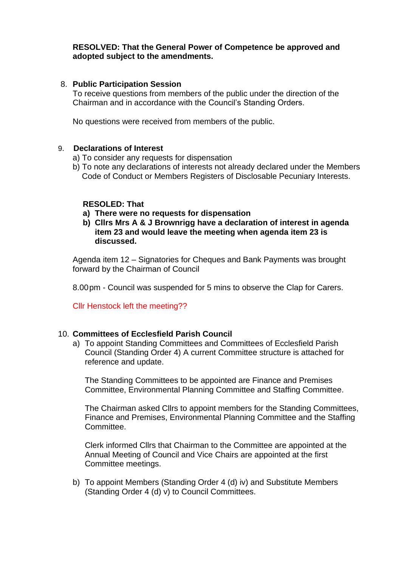## **RESOLVED: That the General Power of Competence be approved and adopted subject to the amendments.**

#### 8. **Public Participation Session**

To receive questions from members of the public under the direction of the Chairman and in accordance with the Council's Standing Orders.

No questions were received from members of the public.

#### 9. **Declarations of Interest**

- a) To consider any requests for dispensation
- b) To note any declarations of interests not already declared under the Members Code of Conduct or Members Registers of Disclosable Pecuniary Interests.

#### **RESOLED: That**

- **a) There were no requests for dispensation**
- **b) Cllrs Mrs A & J Brownrigg have a declaration of interest in agenda item 23 and would leave the meeting when agenda item 23 is discussed.**

Agenda item 12 – Signatories for Cheques and Bank Payments was brought forward by the Chairman of Council

8.00pm - Council was suspended for 5 mins to observe the Clap for Carers.

Cllr Henstock left the meeting??

## 10. **Committees of Ecclesfield Parish Council**

a) To appoint Standing Committees and Committees of Ecclesfield Parish Council (Standing Order 4) A current Committee structure is attached for reference and update.

The Standing Committees to be appointed are Finance and Premises Committee, Environmental Planning Committee and Staffing Committee.

The Chairman asked Cllrs to appoint members for the Standing Committees, Finance and Premises, Environmental Planning Committee and the Staffing Committee.

Clerk informed Cllrs that Chairman to the Committee are appointed at the Annual Meeting of Council and Vice Chairs are appointed at the first Committee meetings.

b) To appoint Members (Standing Order 4 (d) iv) and Substitute Members (Standing Order 4 (d) v) to Council Committees.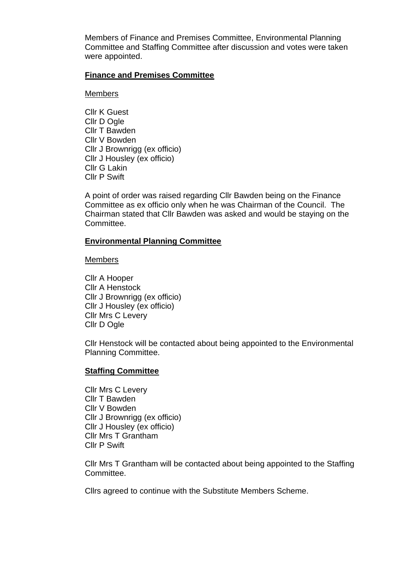Members of Finance and Premises Committee, Environmental Planning Committee and Staffing Committee after discussion and votes were taken were appointed.

#### **Finance and Premises Committee**

#### Members

Cllr K Guest Cllr D Ogle Cllr T Bawden Cllr V Bowden Cllr J Brownrigg (ex officio) Cllr J Housley (ex officio) Cllr G Lakin Cllr P Swift

A point of order was raised regarding Cllr Bawden being on the Finance Committee as ex officio only when he was Chairman of the Council. The Chairman stated that Cllr Bawden was asked and would be staying on the Committee.

#### **Environmental Planning Committee**

#### Members

Cllr A Hooper Cllr A Henstock Cllr J Brownrigg (ex officio) Cllr J Housley (ex officio) Cllr Mrs C Levery Cllr D Ogle

Cllr Henstock will be contacted about being appointed to the Environmental Planning Committee.

#### **Staffing Committee**

Cllr Mrs C Levery Cllr T Bawden Cllr V Bowden Cllr J Brownrigg (ex officio) Cllr J Housley (ex officio) Cllr Mrs T Grantham Cllr P Swift

Cllr Mrs T Grantham will be contacted about being appointed to the Staffing Committee.

Cllrs agreed to continue with the Substitute Members Scheme.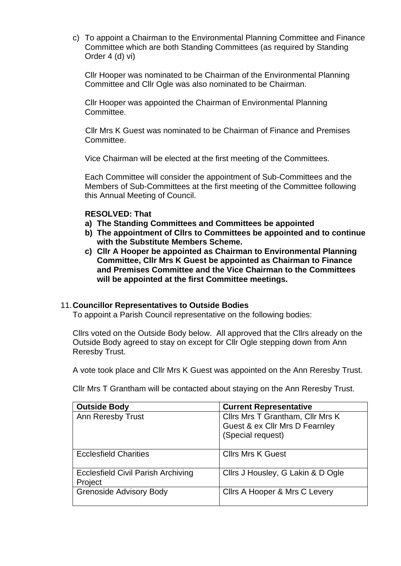c) To appoint a Chairman to the Environmental Planning Committee and Finance Committee which are both Standing Committees (as required by Standing Order 4 (d) vi)

Cllr Hooper was nominated to be Chairman of the Environmental Planning Committee and Cllr Ogle was also nominated to be Chairman.

Cllr Hooper was appointed the Chairman of Environmental Planning Committee.

Cllr Mrs K Guest was nominated to be Chairman of Finance and Premises Committee.

Vice Chairman will be elected at the first meeting of the Committees.

Each Committee will consider the appointment of Sub-Committees and the Members of Sub-Committees at the first meeting of the Committee following this Annual Meeting of Council.

#### **RESOLVED: That**

- **a) The Standing Committees and Committees be appointed**
- **b) The appointment of Cllrs to Committees be appointed and to continue with the Substitute Members Scheme.**
- **c) Cllr A Hooper be appointed as Chairman to Environmental Planning Committee, Cllr Mrs K Guest be appointed as Chairman to Finance and Premises Committee and the Vice Chairman to the Committees will be appointed at the first Committee meetings.**

## 11.**Councillor Representatives to Outside Bodies**

To appoint a Parish Council representative on the following bodies:

Cllrs voted on the Outside Body below. All approved that the Cllrs already on the Outside Body agreed to stay on except for Cllr Ogle stepping down from Ann Reresby Trust.

A vote took place and Cllr Mrs K Guest was appointed on the Ann Reresby Trust.

Cllr Mrs T Grantham will be contacted about staying on the Ann Reresby Trust.

| <b>Outside Body</b>                       | <b>Current Representative</b>     |
|-------------------------------------------|-----------------------------------|
| <b>Ann Reresby Trust</b>                  | Cllrs Mrs T Grantham, Cllr Mrs K  |
|                                           | Guest & ex Cllr Mrs D Fearnley    |
|                                           | (Special request)                 |
|                                           |                                   |
| <b>Ecclesfield Charities</b>              | <b>Clirs Mrs K Guest</b>          |
|                                           |                                   |
| <b>Ecclesfield Civil Parish Archiving</b> | Cllrs J Housley, G Lakin & D Ogle |
| Project                                   |                                   |
| <b>Grenoside Advisory Body</b>            | Cllrs A Hooper & Mrs C Levery     |
|                                           |                                   |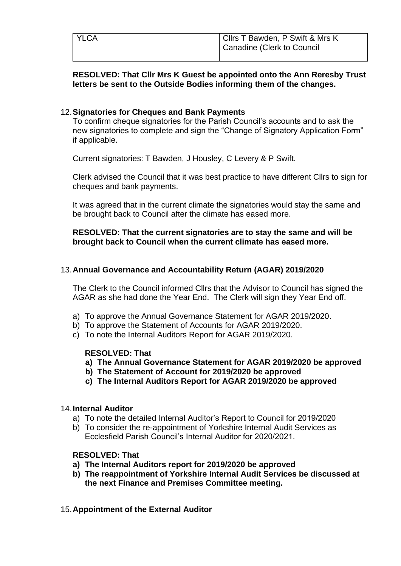| <b>YLCA</b> | Clirs T Bawden, P Swift & Mrs K<br>  Canadine (Clerk to Council |
|-------------|-----------------------------------------------------------------|
|             |                                                                 |

# **RESOLVED: That Cllr Mrs K Guest be appointed onto the Ann Reresby Trust letters be sent to the Outside Bodies informing them of the changes.**

# 12.**Signatories for Cheques and Bank Payments**

To confirm cheque signatories for the Parish Council's accounts and to ask the new signatories to complete and sign the "Change of Signatory Application Form" if applicable.

Current signatories: T Bawden, J Housley, C Levery & P Swift.

Clerk advised the Council that it was best practice to have different Cllrs to sign for cheques and bank payments.

It was agreed that in the current climate the signatories would stay the same and be brought back to Council after the climate has eased more.

## **RESOLVED: That the current signatories are to stay the same and will be brought back to Council when the current climate has eased more.**

# 13.**Annual Governance and Accountability Return (AGAR) 2019/2020**

The Clerk to the Council informed Cllrs that the Advisor to Council has signed the AGAR as she had done the Year End. The Clerk will sign they Year End off.

- a) To approve the Annual Governance Statement for AGAR 2019/2020.
- b) To approve the Statement of Accounts for AGAR 2019/2020.
- c) To note the Internal Auditors Report for AGAR 2019/2020.

# **RESOLVED: That**

- **a) The Annual Governance Statement for AGAR 2019/2020 be approved**
- **b) The Statement of Account for 2019/2020 be approved**
- **c) The Internal Auditors Report for AGAR 2019/2020 be approved**

#### 14.**Internal Auditor**

- a) To note the detailed Internal Auditor's Report to Council for 2019/2020
- b) To consider the re-appointment of Yorkshire Internal Audit Services as Ecclesfield Parish Council's Internal Auditor for 2020/2021.

## **RESOLVED: That**

- **a) The Internal Auditors report for 2019/2020 be approved**
- **b) The reappointment of Yorkshire Internal Audit Services be discussed at the next Finance and Premises Committee meeting.**
- 15.**Appointment of the External Auditor**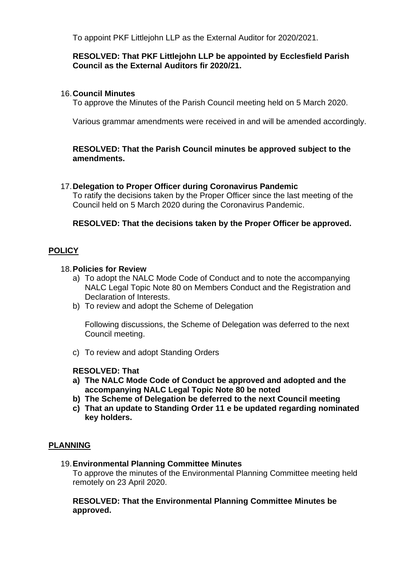To appoint PKF Littlejohn LLP as the External Auditor for 2020/2021.

# **RESOLVED: That PKF Littlejohn LLP be appointed by Ecclesfield Parish Council as the External Auditors fir 2020/21.**

# 16.**Council Minutes**

To approve the Minutes of the Parish Council meeting held on 5 March 2020.

Various grammar amendments were received in and will be amended accordingly.

## **RESOLVED: That the Parish Council minutes be approved subject to the amendments.**

## 17.**Delegation to Proper Officer during Coronavirus Pandemic**

To ratify the decisions taken by the Proper Officer since the last meeting of the Council held on 5 March 2020 during the Coronavirus Pandemic.

## **RESOLVED: That the decisions taken by the Proper Officer be approved.**

# **POLICY**

#### 18.**Policies for Review**

- a) To adopt the NALC Mode Code of Conduct and to note the accompanying NALC Legal Topic Note 80 on Members Conduct and the Registration and Declaration of Interests.
- b) To review and adopt the Scheme of Delegation

Following discussions, the Scheme of Delegation was deferred to the next Council meeting.

c) To review and adopt Standing Orders

## **RESOLVED: That**

- **a) The NALC Mode Code of Conduct be approved and adopted and the accompanying NALC Legal Topic Note 80 be noted**
- **b) The Scheme of Delegation be deferred to the next Council meeting**
- **c) That an update to Standing Order 11 e be updated regarding nominated key holders.**

## **PLANNING**

19.**Environmental Planning Committee Minutes**

To approve the minutes of the Environmental Planning Committee meeting held remotely on 23 April 2020.

#### **RESOLVED: That the Environmental Planning Committee Minutes be approved.**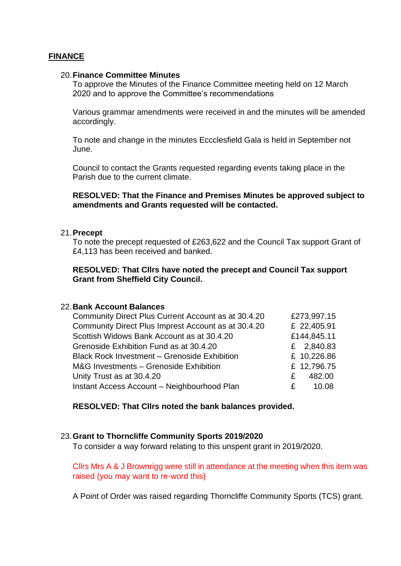## **FINANCE**

#### 20.**Finance Committee Minutes**

To approve the Minutes of the Finance Committee meeting held on 12 March 2020 and to approve the Committee's recommendations

Various grammar amendments were received in and the minutes will be amended accordingly.

To note and change in the minutes Eccclesfield Gala is held in September not June.

Council to contact the Grants requested regarding events taking place in the Parish due to the current climate.

#### **RESOLVED: That the Finance and Premises Minutes be approved subject to amendments and Grants requested will be contacted.**

#### 21.**Precept**

To note the precept requested of £263,622 and the Council Tax support Grant of £4,113 has been received and banked.

#### **RESOLVED: That Cllrs have noted the precept and Council Tax support Grant from Sheffield City Council.**

## 22.**Bank Account Balances**

| Community Direct Plus Current Account as at 30.4.20 |   | £273,997.15 |
|-----------------------------------------------------|---|-------------|
| Community Direct Plus Imprest Account as at 30.4.20 |   | £ 22,405.91 |
| Scottish Widows Bank Account as at 30.4.20          |   | £144,845.11 |
| Grenoside Exhibition Fund as at 30.4.20             |   | £ 2,840.83  |
| <b>Black Rock Investment - Grenoside Exhibition</b> |   | £ 10,226.86 |
| M&G Investments - Grenoside Exhibition              |   | £ 12,796.75 |
| Unity Trust as at 30.4.20                           | £ | 482.00      |
| Instant Access Account - Neighbourhood Plan         | £ | 10.08       |

**RESOLVED: That Cllrs noted the bank balances provided.**

#### 23.**Grant to Thorncliffe Community Sports 2019/2020**

To consider a way forward relating to this unspent grant in 2019/2020.

Cllrs Mrs A & J Brownrigg were still in attendance at the meeting when this item was raised (you may want to re-word this)

A Point of Order was raised regarding Thorncliffe Community Sports (TCS) grant.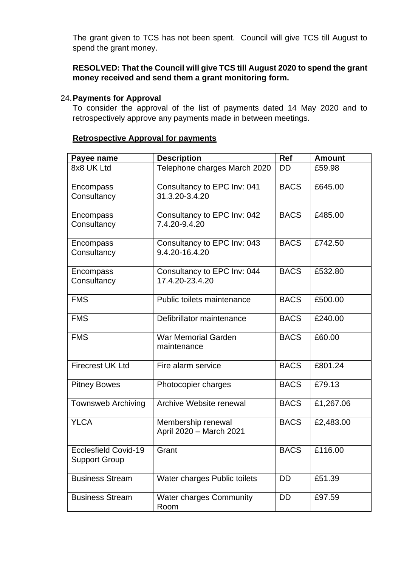The grant given to TCS has not been spent. Council will give TCS till August to spend the grant money.

**RESOLVED: That the Council will give TCS till August 2020 to spend the grant money received and send them a grant monitoring form.**

## 24.**Payments for Approval**

To consider the approval of the list of payments dated 14 May 2020 and to retrospectively approve any payments made in between meetings.

# **Retrospective Approval for payments**

| Payee name                                          | <b>Description</b>                             | <b>Ref</b>  | <b>Amount</b> |
|-----------------------------------------------------|------------------------------------------------|-------------|---------------|
| 8x8 UK Ltd                                          | Telephone charges March 2020                   | DD          | £59.98        |
| Encompass<br>Consultancy                            | Consultancy to EPC Inv: 041<br>31.3.20-3.4.20  | <b>BACS</b> | £645.00       |
| Encompass<br>Consultancy                            | Consultancy to EPC Inv: 042<br>7.4.20-9.4.20   | <b>BACS</b> | £485.00       |
| Encompass<br>Consultancy                            | Consultancy to EPC Inv: 043<br>9.4.20-16.4.20  | <b>BACS</b> | £742.50       |
| Encompass<br>Consultancy                            | Consultancy to EPC Inv: 044<br>17.4.20-23.4.20 | <b>BACS</b> | £532.80       |
| <b>FMS</b>                                          | Public toilets maintenance                     | <b>BACS</b> | £500.00       |
| <b>FMS</b>                                          | Defibrillator maintenance                      | <b>BACS</b> | £240.00       |
| <b>FMS</b>                                          | <b>War Memorial Garden</b><br>maintenance      | <b>BACS</b> | £60.00        |
| <b>Firecrest UK Ltd</b>                             | Fire alarm service                             | <b>BACS</b> | £801.24       |
| <b>Pitney Bowes</b>                                 | Photocopier charges                            | <b>BACS</b> | £79.13        |
| <b>Townsweb Archiving</b>                           | Archive Website renewal                        | <b>BACS</b> | £1,267.06     |
| <b>YLCA</b>                                         | Membership renewal<br>April 2020 - March 2021  | <b>BACS</b> | £2,483.00     |
| <b>Ecclesfield Covid-19</b><br><b>Support Group</b> | Grant                                          | <b>BACS</b> | £116.00       |
| <b>Business Stream</b>                              | Water charges Public toilets                   | <b>DD</b>   | £51.39        |
| <b>Business Stream</b>                              | <b>Water charges Community</b><br>Room         | <b>DD</b>   | £97.59        |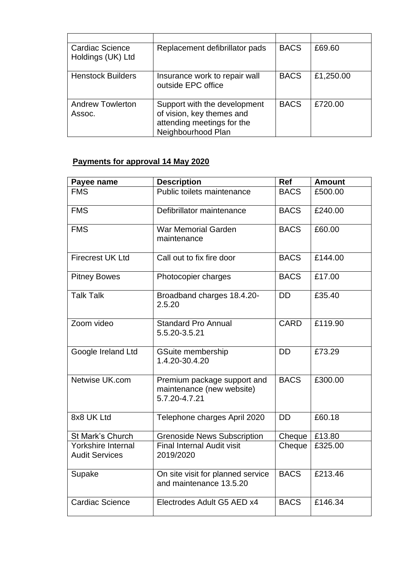| Cardiac Science<br>Holdings (UK) Ltd | Replacement defibrillator pads                                                                                | <b>BACS</b> | £69.60    |
|--------------------------------------|---------------------------------------------------------------------------------------------------------------|-------------|-----------|
| <b>Henstock Builders</b>             | Insurance work to repair wall<br>outside EPC office                                                           | <b>BACS</b> | £1,250.00 |
| <b>Andrew Towlerton</b><br>Assoc.    | Support with the development<br>of vision, key themes and<br>attending meetings for the<br>Neighbourhood Plan | <b>BACS</b> | £720.00   |

# **Payments for approval 14 May 2020**

| Payee name                                  | <b>Description</b>                                                        | Ref         | <b>Amount</b> |
|---------------------------------------------|---------------------------------------------------------------------------|-------------|---------------|
| <b>FMS</b>                                  | Public toilets maintenance                                                | <b>BACS</b> | £500.00       |
| <b>FMS</b>                                  | Defibrillator maintenance                                                 | <b>BACS</b> | £240.00       |
| <b>FMS</b>                                  | <b>War Memorial Garden</b><br>maintenance                                 | <b>BACS</b> | £60.00        |
| <b>Firecrest UK Ltd</b>                     | Call out to fix fire door                                                 | <b>BACS</b> | £144.00       |
| <b>Pitney Bowes</b>                         | Photocopier charges                                                       | <b>BACS</b> | £17.00        |
| <b>Talk Talk</b>                            | Broadband charges 18.4.20-<br>2.5.20                                      | <b>DD</b>   | £35.40        |
| Zoom video                                  | <b>Standard Pro Annual</b><br>5.5.20-3.5.21                               | <b>CARD</b> | £119.90       |
| Google Ireland Ltd                          | <b>GSuite membership</b><br>1.4.20-30.4.20                                | <b>DD</b>   | £73.29        |
| Netwise UK.com                              | Premium package support and<br>maintenance (new website)<br>5.7.20-4.7.21 | <b>BACS</b> | £300.00       |
| 8x8 UK Ltd                                  | Telephone charges April 2020                                              | <b>DD</b>   | £60.18        |
| St Mark's Church                            | <b>Grenoside News Subscription</b>                                        | Cheque      | £13.80        |
| Yorkshire Internal<br><b>Audit Services</b> | <b>Final Internal Audit visit</b><br>2019/2020                            | Cheque      | £325.00       |
| Supake                                      | On site visit for planned service<br>and maintenance 13.5.20              | <b>BACS</b> | £213.46       |
| <b>Cardiac Science</b>                      | Electrodes Adult G5 AED x4                                                | <b>BACS</b> | £146.34       |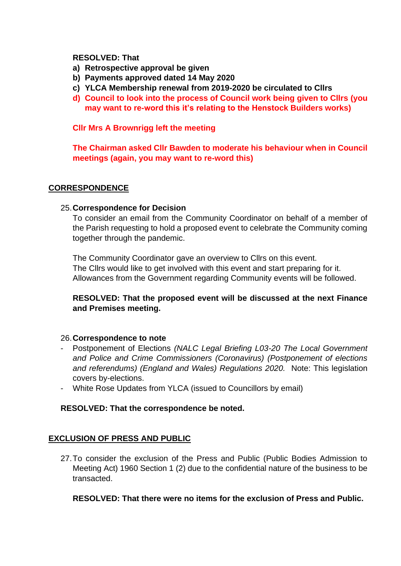## **RESOLVED: That**

- **a) Retrospective approval be given**
- **b) Payments approved dated 14 May 2020**
- **c) YLCA Membership renewal from 2019-2020 be circulated to Cllrs**
- **d) Council to look into the process of Council work being given to Cllrs (you may want to re-word this it's relating to the Henstock Builders works)**

## **Cllr Mrs A Brownrigg left the meeting**

**The Chairman asked Cllr Bawden to moderate his behaviour when in Council meetings (again, you may want to re-word this)**

## **CORRESPONDENCE**

## 25.**Correspondence for Decision**

To consider an email from the Community Coordinator on behalf of a member of the Parish requesting to hold a proposed event to celebrate the Community coming together through the pandemic.

The Community Coordinator gave an overview to Cllrs on this event. The Cllrs would like to get involved with this event and start preparing for it. Allowances from the Government regarding Community events will be followed.

# **RESOLVED: That the proposed event will be discussed at the next Finance and Premises meeting.**

## 26.**Correspondence to note**

- Postponement of Elections *(NALC Legal Briefing L03-20 The Local Government and Police and Crime Commissioners (Coronavirus) (Postponement of elections and referendums) (England and Wales) Regulations 2020.* Note: This legislation covers by-elections.
- White Rose Updates from YLCA (issued to Councillors by email)

## **RESOLVED: That the correspondence be noted.**

## **EXCLUSION OF PRESS AND PUBLIC**

27.To consider the exclusion of the Press and Public (Public Bodies Admission to Meeting Act) 1960 Section 1 (2) due to the confidential nature of the business to be transacted.

## **RESOLVED: That there were no items for the exclusion of Press and Public.**